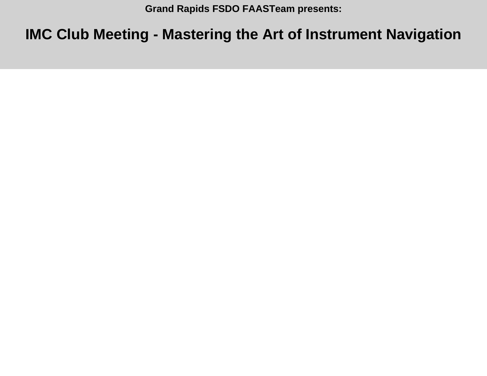**Grand Rapids FSDO FAASTeam presents:**

## **IMC Club Meeting - Mastering the Art of Instrument Navigation**